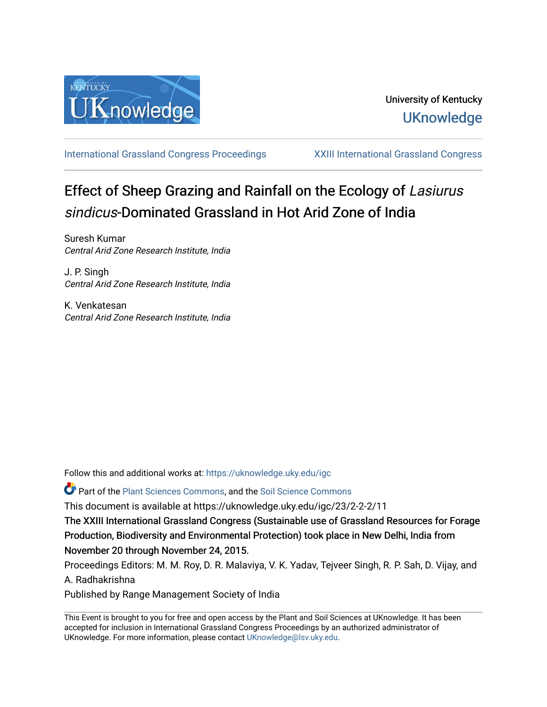

[International Grassland Congress Proceedings](https://uknowledge.uky.edu/igc) [XXIII International Grassland Congress](https://uknowledge.uky.edu/igc/23) 

# Effect of Sheep Grazing and Rainfall on the Ecology of Lasiurus sindicus-Dominated Grassland in Hot Arid Zone of India

Suresh Kumar Central Arid Zone Research Institute, India

J. P. Singh Central Arid Zone Research Institute, India

K. Venkatesan Central Arid Zone Research Institute, India

Follow this and additional works at: [https://uknowledge.uky.edu/igc](https://uknowledge.uky.edu/igc?utm_source=uknowledge.uky.edu%2Figc%2F23%2F2-2-2%2F11&utm_medium=PDF&utm_campaign=PDFCoverPages) 

Part of the [Plant Sciences Commons](http://network.bepress.com/hgg/discipline/102?utm_source=uknowledge.uky.edu%2Figc%2F23%2F2-2-2%2F11&utm_medium=PDF&utm_campaign=PDFCoverPages), and the [Soil Science Commons](http://network.bepress.com/hgg/discipline/163?utm_source=uknowledge.uky.edu%2Figc%2F23%2F2-2-2%2F11&utm_medium=PDF&utm_campaign=PDFCoverPages) 

This document is available at https://uknowledge.uky.edu/igc/23/2-2-2/11

The XXIII International Grassland Congress (Sustainable use of Grassland Resources for Forage Production, Biodiversity and Environmental Protection) took place in New Delhi, India from November 20 through November 24, 2015.

Proceedings Editors: M. M. Roy, D. R. Malaviya, V. K. Yadav, Tejveer Singh, R. P. Sah, D. Vijay, and A. Radhakrishna

Published by Range Management Society of India

This Event is brought to you for free and open access by the Plant and Soil Sciences at UKnowledge. It has been accepted for inclusion in International Grassland Congress Proceedings by an authorized administrator of UKnowledge. For more information, please contact [UKnowledge@lsv.uky.edu](mailto:UKnowledge@lsv.uky.edu).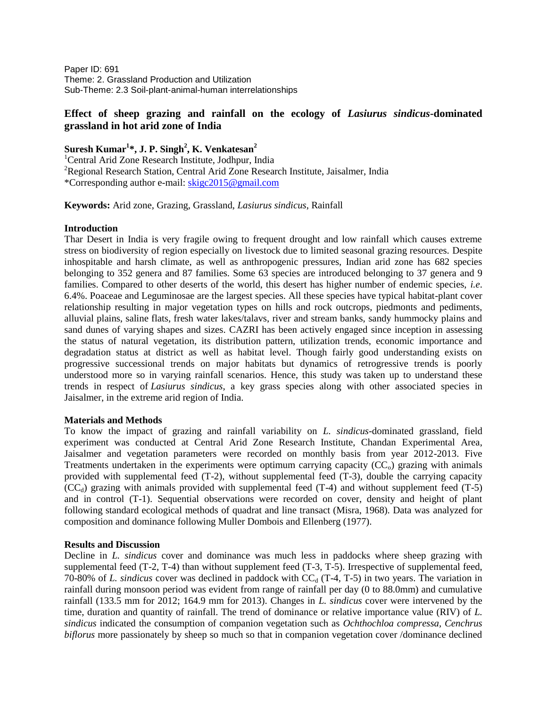Paper ID: 691 Theme: 2. Grassland Production and Utilization Sub-Theme: 2.3 Soil-plant-animal-human interrelationships

## **Effect of sheep grazing and rainfall on the ecology of** *Lasiurus sindicus***-dominated grassland in hot arid zone of India**

**Suresh Kumar<sup>1</sup> \*, J. P. Singh<sup>2</sup> , K. Venkatesan<sup>2</sup>**

<sup>1</sup>Central Arid Zone Research Institute, Jodhpur, India <sup>2</sup>Regional Research Station, Central Arid Zone Research Institute, Jaisalmer, India \*Corresponding author e-mail: [skigc2015@gmail.com](mailto:skigc2015@gmail.com)

## **Keywords:** Arid zone, Grazing, Grassland, *Lasiurus sindicus*, Rainfall

### **Introduction**

Thar Desert in India is very fragile owing to frequent drought and low rainfall which causes extreme stress on biodiversity of region especially on livestock due to limited seasonal grazing resources. Despite inhospitable and harsh climate, as well as anthropogenic pressures, Indian arid zone has 682 species belonging to 352 genera and 87 families. Some 63 species are introduced belonging to 37 genera and 9 families. Compared to other deserts of the world, this desert has higher number of endemic species, *i.e*. 6.4%. Poaceae and Leguminosae are the largest species. All these species have typical habitat-plant cover relationship resulting in major vegetation types on hills and rock outcrops, piedmonts and pediments, alluvial plains, saline flats, fresh water lakes/talavs, river and stream banks, sandy hummocky plains and sand dunes of varying shapes and sizes. CAZRI has been actively engaged since inception in assessing the status of natural vegetation, its distribution pattern, utilization trends, economic importance and degradation status at district as well as habitat level. Though fairly good understanding exists on progressive successional trends on major habitats but dynamics of retrogressive trends is poorly understood more so in varying rainfall scenarios. Hence, this study was taken up to understand these trends in respect of *Lasiurus sindicus*, a key grass species along with other associated species in Jaisalmer, in the extreme arid region of India.

#### **Materials and Methods**

To know the impact of grazing and rainfall variability on *L. sindicus*-dominated grassland, field experiment was conducted at Central Arid Zone Research Institute, Chandan Experimental Area, Jaisalmer and vegetation parameters were recorded on monthly basis from year 2012-2013. Five Treatments undertaken in the experiments were optimum carrying capacity  $(CC<sub>o</sub>)$  grazing with animals provided with supplemental feed (T-2), without supplemental feed (T-3), double the carrying capacity  $(CC<sub>d</sub>)$  grazing with animals provided with supplemental feed  $(T-4)$  and without supplement feed  $(T-5)$ and in control (T-1). Sequential observations were recorded on cover, density and height of plant following standard ecological methods of quadrat and line transact (Misra, 1968). Data was analyzed for composition and dominance following Muller Dombois and Ellenberg (1977).

#### **Results and Discussion**

Decline in *L. sindicus* cover and dominance was much less in paddocks where sheep grazing with supplemental feed (T-2, T-4) than without supplement feed (T-3, T-5). Irrespective of supplemental feed, 70-80% of *L. sindicus* cover was declined in paddock with  $CC_d$  (T-4, T-5) in two years. The variation in rainfall during monsoon period was evident from range of rainfall per day (0 to 88.0mm) and cumulative rainfall (133.5 mm for 2012; 164.9 mm for 2013). Changes in *L. sindicus* cover were intervened by the time, duration and quantity of rainfall. The trend of dominance or relative importance value (RIV) of *L. sindicus* indicated the consumption of companion vegetation such as *Ochthochloa compressa, Cenchrus biflorus* more passionately by sheep so much so that in companion vegetation cover /dominance declined